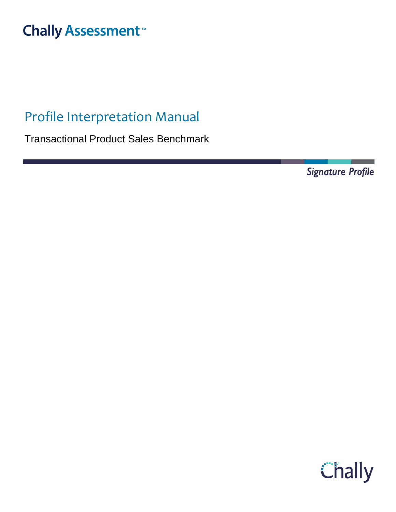# **Chally Assessment**<sup>™</sup>

# Profile Interpretation Manual

Transactional Product Sales Benchmark

**Signature Profile** 

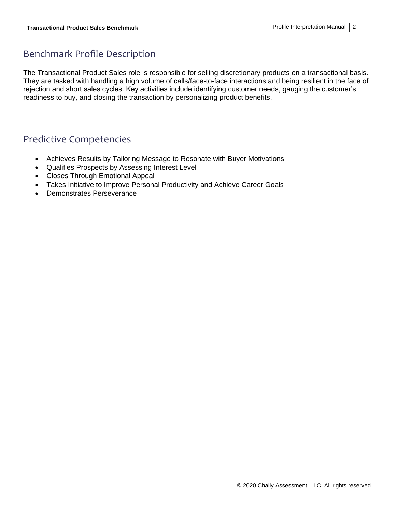## Benchmark Profile Description

The Transactional Product Sales role is responsible for selling discretionary products on a transactional basis. They are tasked with handling a high volume of calls/face-to-face interactions and being resilient in the face of rejection and short sales cycles. Key activities include identifying customer needs, gauging the customer's readiness to buy, and closing the transaction by personalizing product benefits.

### Predictive Competencies

- Achieves Results by Tailoring Message to Resonate with Buyer Motivations
- Qualifies Prospects by Assessing Interest Level
- Closes Through Emotional Appeal
- Takes Initiative to Improve Personal Productivity and Achieve Career Goals
- Demonstrates Perseverance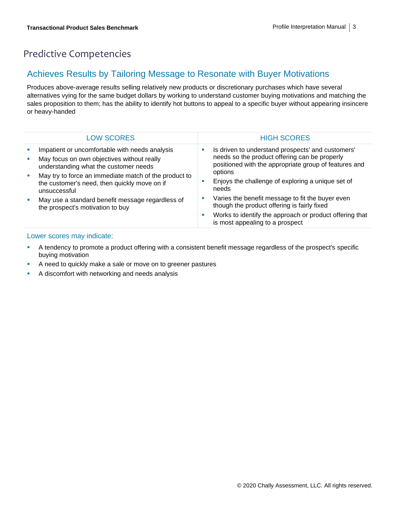# Predictive Competencies

### Achieves Results by Tailoring Message to Resonate with Buyer Motivations

Produces above-average results selling relatively new products or discretionary purchases which have several alternatives vying for the same budget dollars by working to understand customer buying motivations and matching the sales proposition to them; has the ability to identify hot buttons to appeal to a specific buyer without appearing insincere or heavy-handed

|   | <b>LOW SCORES</b>                                                                                                                     |    | <b>HIGH SCORES</b>                                                                                                                                          |
|---|---------------------------------------------------------------------------------------------------------------------------------------|----|-------------------------------------------------------------------------------------------------------------------------------------------------------------|
| × | Impatient or uncomfortable with needs analysis<br>May focus on own objectives without really<br>understanding what the customer needs | ш  | Is driven to understand prospects' and customers'<br>needs so the product offering can be properly<br>positioned with the appropriate group of features and |
| × | May try to force an immediate match of the product to<br>the customer's need, then quickly move on if<br>unsuccessful                 |    | options<br>Enjoys the challenge of exploring a unique set of<br>needs                                                                                       |
| п | May use a standard benefit message regardless of<br>the prospect's motivation to buy                                                  | M. | Varies the benefit message to fit the buyer even<br>though the product offering is fairly fixed                                                             |
|   |                                                                                                                                       | a. | Works to identify the approach or product offering that<br>is most appealing to a prospect                                                                  |

- A tendency to promote a product offering with a consistent benefit message regardless of the prospect's specific buying motivation
- A need to quickly make a sale or move on to greener pastures
- A discomfort with networking and needs analysis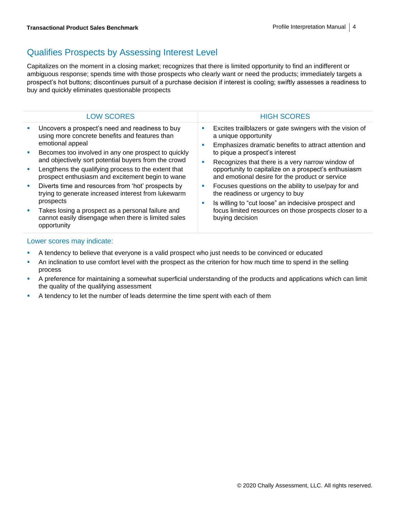## Qualifies Prospects by Assessing Interest Level

Capitalizes on the moment in a closing market; recognizes that there is limited opportunity to find an indifferent or ambiguous response; spends time with those prospects who clearly want or need the products; immediately targets a prospect's hot buttons; discontinues pursuit of a purchase decision if interest is cooling; swiftly assesses a readiness to buy and quickly eliminates questionable prospects

|          | <b>LOW SCORES</b>                                                                                                                    |   | <b>HIGH SCORES</b>                                                                                                                        |
|----------|--------------------------------------------------------------------------------------------------------------------------------------|---|-------------------------------------------------------------------------------------------------------------------------------------------|
|          | Uncovers a prospect's need and readiness to buy<br>using more concrete benefits and features than<br>emotional appeal                |   | Excites trailblazers or gate swingers with the vision of<br>a unique opportunity<br>Emphasizes dramatic benefits to attract attention and |
| ×        | Becomes too involved in any one prospect to quickly<br>and objectively sort potential buyers from the crowd                          | п | to pique a prospect's interest<br>Recognizes that there is a very narrow window of                                                        |
|          | Lengthens the qualifying process to the extent that<br>prospect enthusiasm and excitement begin to wane                              |   | opportunity to capitalize on a prospect's enthusiasm<br>and emotional desire for the product or service                                   |
| <b>I</b> | Diverts time and resources from 'hot' prospects by<br>trying to generate increased interest from lukewarm                            |   | Focuses questions on the ability to use/pay for and<br>the readiness or urgency to buy                                                    |
|          | prospects<br>Takes losing a prospect as a personal failure and<br>cannot easily disengage when there is limited sales<br>opportunity |   | Is willing to "cut loose" an indecisive prospect and<br>focus limited resources on those prospects closer to a<br>buying decision         |

- A tendency to believe that everyone is a valid prospect who just needs to be convinced or educated
- **•** An inclination to use comfort level with the prospect as the criterion for how much time to spend in the selling process
- A preference for maintaining a somewhat superficial understanding of the products and applications which can limit the quality of the qualifying assessment
- **•** A tendency to let the number of leads determine the time spent with each of them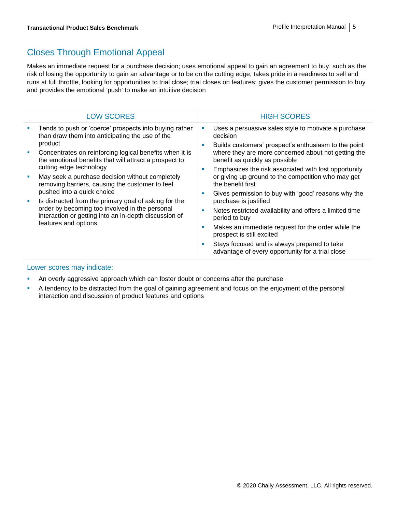## Closes Through Emotional Appeal

Makes an immediate request for a purchase decision; uses emotional appeal to gain an agreement to buy, such as the risk of losing the opportunity to gain an advantage or to be on the cutting edge; takes pride in a readiness to sell and runs at full throttle, looking for opportunities to trial close; trial closes on features; gives the customer permission to buy and provides the emotional 'push' to make an intuitive decision

| <b>LOW SCORES</b>                                                                                                                                                                                                                                                                                                                                                                                                                                                                                                                                                                                                         | <b>HIGH SCORES</b>                                                                                                                                                                                                                                                                                                                                                                                                                                                                                                                                                                                                                                                                                      |
|---------------------------------------------------------------------------------------------------------------------------------------------------------------------------------------------------------------------------------------------------------------------------------------------------------------------------------------------------------------------------------------------------------------------------------------------------------------------------------------------------------------------------------------------------------------------------------------------------------------------------|---------------------------------------------------------------------------------------------------------------------------------------------------------------------------------------------------------------------------------------------------------------------------------------------------------------------------------------------------------------------------------------------------------------------------------------------------------------------------------------------------------------------------------------------------------------------------------------------------------------------------------------------------------------------------------------------------------|
| Tends to push or 'coerce' prospects into buying rather<br>П<br>than draw them into anticipating the use of the<br>product<br>Concentrates on reinforcing logical benefits when it is<br>U,<br>the emotional benefits that will attract a prospect to<br>cutting edge technology<br>May seek a purchase decision without completely<br>×<br>removing barriers, causing the customer to feel<br>pushed into a quick choice<br>Is distracted from the primary goal of asking for the<br>×<br>order by becoming too involved in the personal<br>interaction or getting into an in-depth discussion of<br>features and options | Uses a persuasive sales style to motivate a purchase<br>decision<br>Builds customers' prospect's enthusiasm to the point<br>where they are more concerned about not getting the<br>benefit as quickly as possible<br>Emphasizes the risk associated with lost opportunity<br>or giving up ground to the competition who may get<br>the benefit first<br>Gives permission to buy with 'good' reasons why the<br>purchase is justified<br>Notes restricted availability and offers a limited time<br>period to buy<br>Makes an immediate request for the order while the<br>prospect is still excited<br>Stays focused and is always prepared to take<br>advantage of every opportunity for a trial close |

- **An overly aggressive approach which can foster doubt or concerns after the purchase**
- A tendency to be distracted from the goal of gaining agreement and focus on the enjoyment of the personal interaction and discussion of product features and options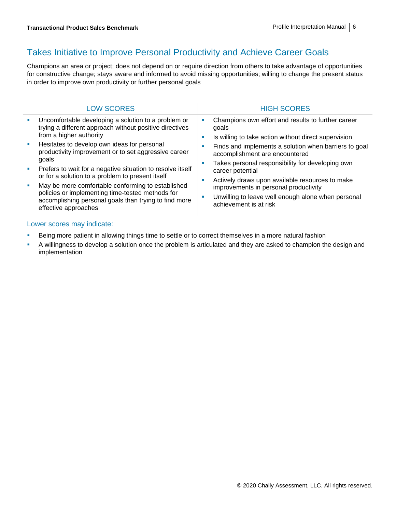### Takes Initiative to Improve Personal Productivity and Achieve Career Goals

Champions an area or project; does not depend on or require direction from others to take advantage of opportunities for constructive change; stays aware and informed to avoid missing opportunities; willing to change the present status in order to improve own productivity or further personal goals

| <b>LOW SCORES</b>                                                                                                                                                                                                                                                                                                                                                                                                                                                                                                                                                     | <b>HIGH SCORES</b>                                                                                                                                                                                                                                                                                                                                                                                                                                                                                |
|-----------------------------------------------------------------------------------------------------------------------------------------------------------------------------------------------------------------------------------------------------------------------------------------------------------------------------------------------------------------------------------------------------------------------------------------------------------------------------------------------------------------------------------------------------------------------|---------------------------------------------------------------------------------------------------------------------------------------------------------------------------------------------------------------------------------------------------------------------------------------------------------------------------------------------------------------------------------------------------------------------------------------------------------------------------------------------------|
| Uncomfortable developing a solution to a problem or<br>trying a different approach without positive directives<br>from a higher authority<br>Hesitates to develop own ideas for personal<br>productivity improvement or to set aggressive career<br>goals<br>Prefers to wait for a negative situation to resolve itself<br>or for a solution to a problem to present itself<br>May be more comfortable conforming to established<br>policies or implementing time-tested methods for<br>accomplishing personal goals than trying to find more<br>effective approaches | Champions own effort and results to further career<br>ш<br>goals<br>Is willing to take action without direct supervision<br>M.<br>Finds and implements a solution when barriers to goal<br>ш<br>accomplishment are encountered<br>Takes personal responsibility for developing own<br>ш<br>career potential<br>Actively draws upon available resources to make<br>ш<br>improvements in personal productivity<br>Unwilling to leave well enough alone when personal<br>п<br>achievement is at risk |
|                                                                                                                                                                                                                                                                                                                                                                                                                                                                                                                                                                       |                                                                                                                                                                                                                                                                                                                                                                                                                                                                                                   |

- **EXECT** Being more patient in allowing things time to settle or to correct themselves in a more natural fashion
- A willingness to develop a solution once the problem is articulated and they are asked to champion the design and implementation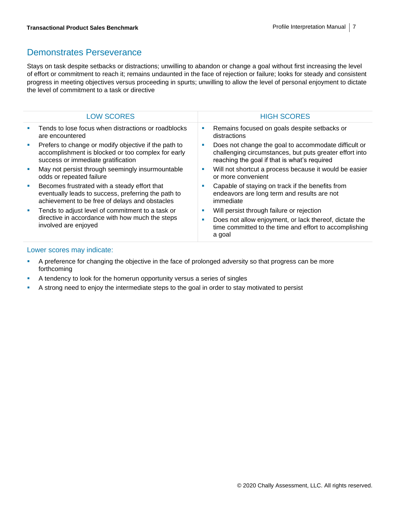### Demonstrates Perseverance

Stays on task despite setbacks or distractions; unwilling to abandon or change a goal without first increasing the level of effort or commitment to reach it; remains undaunted in the face of rejection or failure; looks for steady and consistent progress in meeting objectives versus proceeding in spurts; unwilling to allow the level of personal enjoyment to dictate the level of commitment to a task or directive

| <b>LOW SCORES</b>                                                                                                                                     |   | <b>HIGH SCORES</b>                                                                                                                                              |
|-------------------------------------------------------------------------------------------------------------------------------------------------------|---|-----------------------------------------------------------------------------------------------------------------------------------------------------------------|
| Tends to lose focus when distractions or roadblocks<br>are encountered                                                                                | ш | Remains focused on goals despite setbacks or<br>distractions                                                                                                    |
| Prefers to change or modify objective if the path to<br>accomplishment is blocked or too complex for early<br>success or immediate gratification      | ш | Does not change the goal to accommodate difficult or<br>challenging circumstances, but puts greater effort into<br>reaching the goal if that is what's required |
| May not persist through seemingly insurmountable<br>odds or repeated failure                                                                          | ш | Will not shortcut a process because it would be easier<br>or more convenient                                                                                    |
| Becomes frustrated with a steady effort that<br>eventually leads to success, preferring the path to<br>achievement to be free of delays and obstacles | ш | Capable of staying on track if the benefits from<br>endeavors are long term and results are not<br>immediate                                                    |
| Tends to adjust level of commitment to a task or<br>directive in accordance with how much the steps<br>involved are enjoyed                           | × | Will persist through failure or rejection                                                                                                                       |
|                                                                                                                                                       | ш | Does not allow enjoyment, or lack thereof, dictate the<br>time committed to the time and effort to accomplishing<br>a goal                                      |

- **•** A preference for changing the objective in the face of prolonged adversity so that progress can be more forthcoming
- **EXECT** A tendency to look for the homerun opportunity versus a series of singles
- **•** A strong need to enjoy the intermediate steps to the goal in order to stay motivated to persist